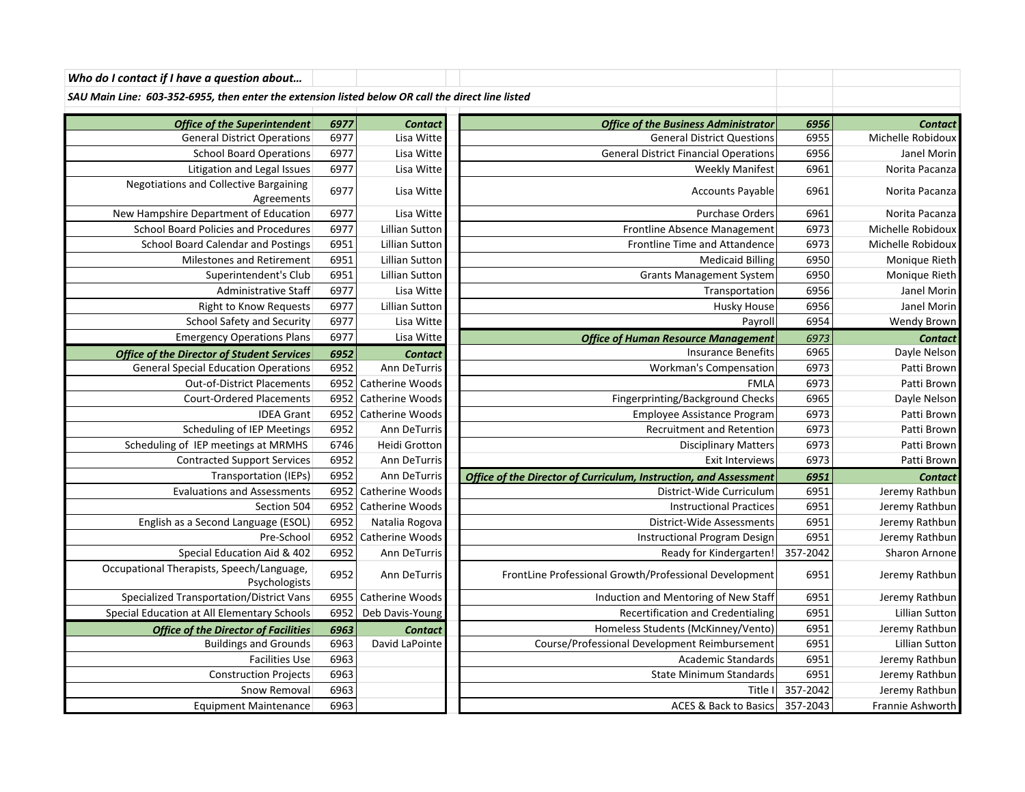*SAU Main Line: 603-352-6955, then enter the extension listed below OR call the direct line listed*

| <b>Office of the Superintendent</b><br><b>General District Operations</b> | 6977<br>6977 | <b>Contact</b><br>Lisa Witte | <b>Office of the Business Administrator</b><br><b>General District Questions</b> | 6956<br>6955 | <b>Contact</b><br>Michelle Robidoux |
|---------------------------------------------------------------------------|--------------|------------------------------|----------------------------------------------------------------------------------|--------------|-------------------------------------|
| <b>School Board Operations</b>                                            | 6977         | Lisa Witte                   | <b>General District Financial Operations</b>                                     | 6956         | Janel Morin                         |
| Litigation and Legal Issues                                               | 6977         | Lisa Witte                   | <b>Weekly Manifest</b>                                                           | 6961         | Norita Pacanza                      |
| <b>Negotiations and Collective Bargaining</b>                             |              |                              |                                                                                  |              |                                     |
| Agreements                                                                | 6977         | Lisa Witte                   | Accounts Payable                                                                 | 6961         | Norita Pacanza                      |
| New Hampshire Department of Education                                     | 6977         | Lisa Witte                   | <b>Purchase Orders</b>                                                           | 6961         | Norita Pacanza                      |
| <b>School Board Policies and Procedures</b>                               | 6977         | <b>Lillian Sutton</b>        | Frontline Absence Management                                                     | 6973         | Michelle Robidoux                   |
| <b>School Board Calendar and Postings</b>                                 | 6951         | <b>Lillian Sutton</b>        | Frontline Time and Attandence                                                    | 6973         | Michelle Robidoux                   |
| <b>Milestones and Retirement</b>                                          | 6951         | <b>Lillian Sutton</b>        | <b>Medicaid Billing</b>                                                          | 6950         | Monique Rieth                       |
| Superintendent's Club                                                     | 6951         | <b>Lillian Sutton</b>        | <b>Grants Management System</b>                                                  | 6950         | Monique Rieth                       |
| Administrative Staff                                                      | 6977         | Lisa Witte                   | Transportation                                                                   | 6956         | Janel Morin                         |
| <b>Right to Know Requests</b>                                             | 6977         | <b>Lillian Sutton</b>        | Husky House                                                                      | 6956         | Janel Morin                         |
| School Safety and Security                                                | 6977         | Lisa Witte                   | Payroll                                                                          | 6954         | Wendy Brown                         |
| <b>Emergency Operations Plans</b>                                         | 6977         | Lisa Witte                   | <b>Office of Human Resource Management</b>                                       | 6973         | <b>Contact</b>                      |
| <b>Office of the Director of Student Services</b>                         | 6952         | <b>Contact</b>               | <b>Insurance Benefits</b>                                                        | 6965         | Dayle Nelson                        |
| <b>General Special Education Operations</b>                               | 6952         | Ann DeTurris                 | <b>Workman's Compensation</b>                                                    | 6973         | Patti Brown                         |
| <b>Out-of-District Placements</b>                                         | 6952         | Catherine Woods              | <b>FMLA</b>                                                                      | 6973         | Patti Brown                         |
| <b>Court-Ordered Placements</b>                                           | 6952         | Catherine Woods              | Fingerprinting/Background Checks                                                 | 6965         | Dayle Nelson                        |
| <b>IDEA Grant</b>                                                         | 6952         | Catherine Woods              | Employee Assistance Program                                                      | 6973         | Patti Brown                         |
| <b>Scheduling of IEP Meetings</b>                                         | 6952         | Ann DeTurris                 | <b>Recruitment and Retention</b>                                                 | 6973         | Patti Brown                         |
| Scheduling of IEP meetings at MRMHS                                       | 6746         | Heidi Grotton                | <b>Disciplinary Matters</b>                                                      | 6973         | Patti Brown                         |
| <b>Contracted Support Services</b>                                        | 6952         | Ann DeTurris                 | <b>Exit Interviews</b>                                                           | 6973         | Patti Brown                         |
| Transportation (IEPs)                                                     | 6952         | Ann DeTurris                 | Office of the Director of Curriculum, Instruction, and Assessment                | 6951         | <b>Contact</b>                      |
| <b>Evaluations and Assessments</b>                                        | 6952         | Catherine Woods              | District-Wide Curriculum                                                         | 6951         | Jeremy Rathbun                      |
| Section 504                                                               | 6952         | Catherine Woods              | <b>Instructional Practices</b>                                                   | 6951         | Jeremy Rathbun                      |
| English as a Second Language (ESOL)                                       | 6952         | Natalia Rogova               | District-Wide Assessments                                                        | 6951         | Jeremy Rathbun                      |
| Pre-School                                                                | 6952         | Catherine Woods              | <b>Instructional Program Design</b>                                              | 6951         | Jeremy Rathbun                      |
| Special Education Aid & 402                                               | 6952         | Ann DeTurris                 | Ready for Kindergarten!                                                          | 357-2042     | Sharon Arnone                       |
| Occupational Therapists, Speech/Language,<br>Psychologists                | 6952         | Ann DeTurris                 | FrontLine Professional Growth/Professional Development                           | 6951         | Jeremy Rathbun                      |
| Specialized Transportation/District Vans                                  | 6955         | Catherine Woods              | Induction and Mentoring of New Staff                                             | 6951         | Jeremy Rathbun                      |
| Special Education at All Elementary Schools                               | 6952         | Deb Davis-Young              | <b>Recertification and Credentialing</b>                                         | 6951         | Lillian Sutton                      |
| <b>Office of the Director of Facilities</b>                               | 6963         | <b>Contact</b>               | Homeless Students (McKinney/Vento)                                               | 6951         | Jeremy Rathbun                      |
| <b>Buildings and Grounds</b>                                              | 6963         | David LaPointe               | Course/Professional Development Reimbursement                                    | 6951         | Lillian Sutton                      |
| <b>Facilities Use</b>                                                     | 6963         |                              | <b>Academic Standards</b>                                                        | 6951         | Jeremy Rathbun                      |
| <b>Construction Projects</b>                                              | 6963         |                              | <b>State Minimum Standards</b>                                                   | 6951         | Jeremy Rathbun                      |
| Snow Removal                                                              | 6963         |                              | Title Il                                                                         | 357-2042     | Jeremy Rathbun                      |
| <b>Equipment Maintenance</b>                                              | 6963         |                              | ACES & Back to Basics                                                            | 357-2043     | Frannie Ashworth                    |